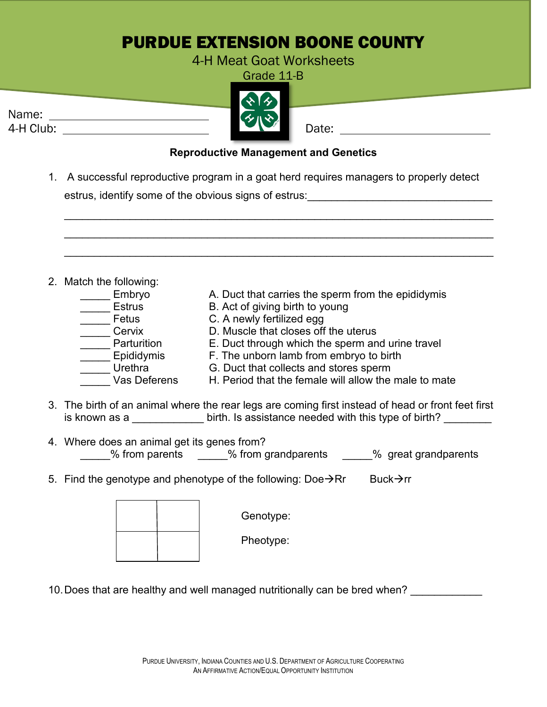## PURDUE EXTENSION BOONE COUNTY

4-H Meat Goat Worksheets

Grade 11-B

| Name:     |  |       |
|-----------|--|-------|
| 4-H Club: |  | Date: |

## **Reproductive Management and Genetics**

1. A successful reproductive program in a goat herd requires managers to properly detect estrus, identify some of the obvious signs of estrus:

|                                             | 2. Match the following:                                                                                                                                                        |  |              |                                                                                   |  |  |  |
|---------------------------------------------|--------------------------------------------------------------------------------------------------------------------------------------------------------------------------------|--|--------------|-----------------------------------------------------------------------------------|--|--|--|
|                                             | Embryo                                                                                                                                                                         |  |              | A. Duct that carries the sperm from the epididymis                                |  |  |  |
|                                             | Estrus                                                                                                                                                                         |  |              | B. Act of giving birth to young                                                   |  |  |  |
|                                             | ____ Fetus                                                                                                                                                                     |  |              | C. A newly fertilized egg                                                         |  |  |  |
|                                             | _____ Cervix                                                                                                                                                                   |  |              | D. Muscle that closes off the uterus                                              |  |  |  |
|                                             | _____ Parturition                                                                                                                                                              |  |              | E. Duct through which the sperm and urine travel                                  |  |  |  |
|                                             | ____ Epididymis<br><b>Example 1</b> Urethra                                                                                                                                    |  |              | F. The unborn lamb from embryo to birth<br>G. Duct that collects and stores sperm |  |  |  |
|                                             |                                                                                                                                                                                |  | Vas Deferens | H. Period that the female will allow the male to mate                             |  |  |  |
|                                             |                                                                                                                                                                                |  |              |                                                                                   |  |  |  |
|                                             | 3. The birth of an animal where the rear legs are coming first instead of head or front feet first<br>is known as a series which is assistance needed with this type of birth? |  |              |                                                                                   |  |  |  |
| 4. Where does an animal get its genes from? |                                                                                                                                                                                |  |              |                                                                                   |  |  |  |
|                                             |                                                                                                                                                                                |  |              | % from parents 4.1 % from grandparents 4.1 % great grandparents                   |  |  |  |
|                                             | Buck $\rightarrow$ rr<br>5. Find the genotype and phenotype of the following: Doe $\rightarrow$ Rr                                                                             |  |              |                                                                                   |  |  |  |
|                                             |                                                                                                                                                                                |  |              |                                                                                   |  |  |  |
|                                             |                                                                                                                                                                                |  |              | Genotype:                                                                         |  |  |  |
|                                             |                                                                                                                                                                                |  |              | Pheotype:                                                                         |  |  |  |
|                                             |                                                                                                                                                                                |  |              |                                                                                   |  |  |  |

10. Does that are healthy and well managed nutritionally can be bred when?